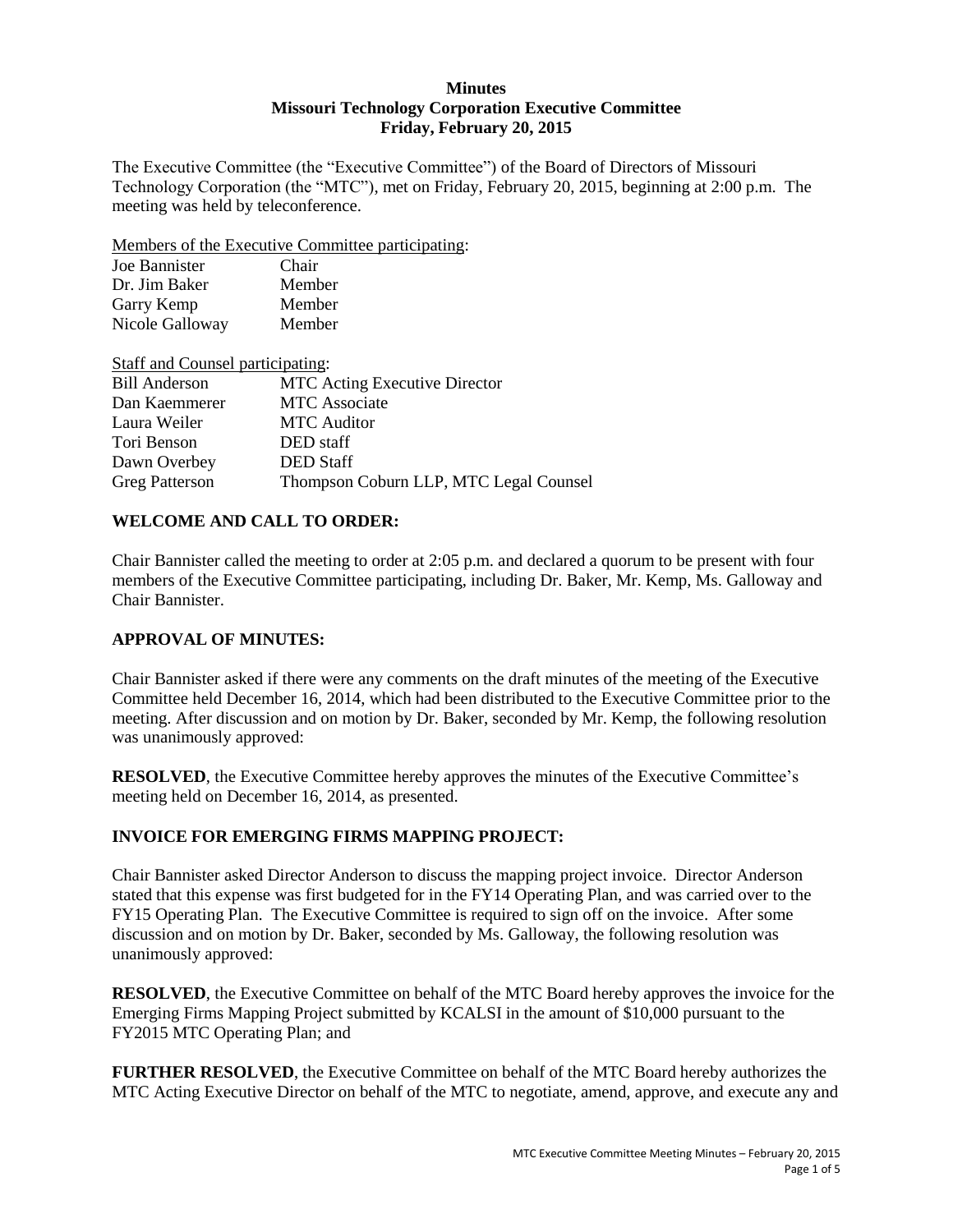### **Minutes Missouri Technology Corporation Executive Committee Friday, February 20, 2015**

The Executive Committee (the "Executive Committee") of the Board of Directors of Missouri Technology Corporation (the "MTC"), met on Friday, February 20, 2015, beginning at 2:00 p.m. The meeting was held by teleconference.

Members of the Executive Committee participating:

| Joe Bannister   | Chair  |
|-----------------|--------|
| Dr. Jim Baker   | Member |
| Garry Kemp      | Member |
| Nicole Galloway | Member |

| Staff and Counsel participating:       |
|----------------------------------------|
| <b>MTC</b> Acting Executive Director   |
| <b>MTC</b> Associate                   |
| <b>MTC</b> Auditor                     |
| DED staff                              |
| <b>DED</b> Staff                       |
| Thompson Coburn LLP, MTC Legal Counsel |
|                                        |

# **WELCOME AND CALL TO ORDER:**

Chair Bannister called the meeting to order at 2:05 p.m. and declared a quorum to be present with four members of the Executive Committee participating, including Dr. Baker, Mr. Kemp, Ms. Galloway and Chair Bannister.

# **APPROVAL OF MINUTES:**

Chair Bannister asked if there were any comments on the draft minutes of the meeting of the Executive Committee held December 16, 2014, which had been distributed to the Executive Committee prior to the meeting. After discussion and on motion by Dr. Baker, seconded by Mr. Kemp, the following resolution was unanimously approved:

**RESOLVED**, the Executive Committee hereby approves the minutes of the Executive Committee's meeting held on December 16, 2014, as presented.

# **INVOICE FOR EMERGING FIRMS MAPPING PROJECT:**

Chair Bannister asked Director Anderson to discuss the mapping project invoice. Director Anderson stated that this expense was first budgeted for in the FY14 Operating Plan, and was carried over to the FY15 Operating Plan. The Executive Committee is required to sign off on the invoice. After some discussion and on motion by Dr. Baker, seconded by Ms. Galloway, the following resolution was unanimously approved:

**RESOLVED**, the Executive Committee on behalf of the MTC Board hereby approves the invoice for the Emerging Firms Mapping Project submitted by KCALSI in the amount of \$10,000 pursuant to the FY2015 MTC Operating Plan; and

**FURTHER RESOLVED**, the Executive Committee on behalf of the MTC Board hereby authorizes the MTC Acting Executive Director on behalf of the MTC to negotiate, amend, approve, and execute any and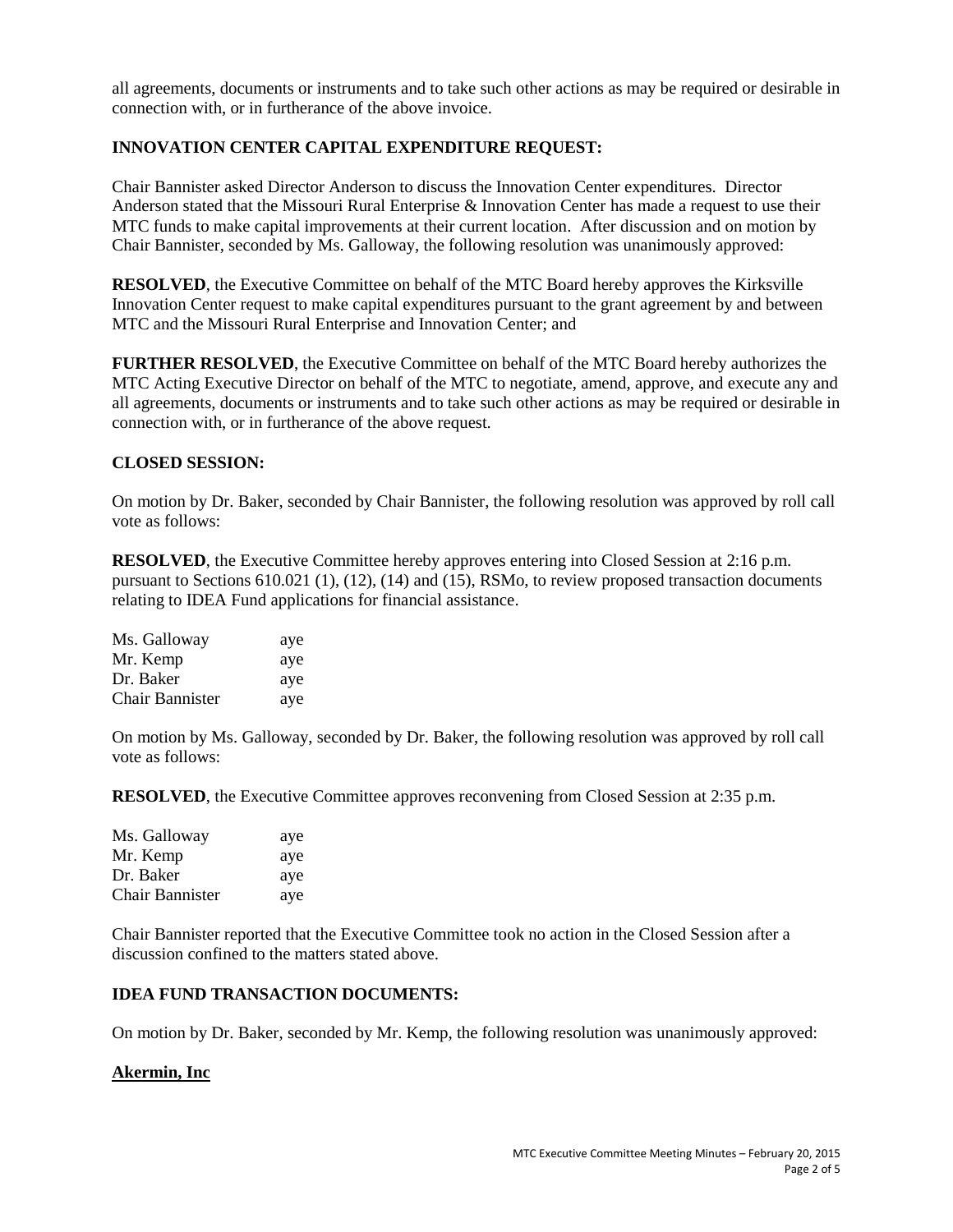all agreements, documents or instruments and to take such other actions as may be required or desirable in connection with, or in furtherance of the above invoice.

### **INNOVATION CENTER CAPITAL EXPENDITURE REQUEST:**

Chair Bannister asked Director Anderson to discuss the Innovation Center expenditures. Director Anderson stated that the Missouri Rural Enterprise & Innovation Center has made a request to use their MTC funds to make capital improvements at their current location. After discussion and on motion by Chair Bannister, seconded by Ms. Galloway, the following resolution was unanimously approved:

**RESOLVED**, the Executive Committee on behalf of the MTC Board hereby approves the Kirksville Innovation Center request to make capital expenditures pursuant to the grant agreement by and between MTC and the Missouri Rural Enterprise and Innovation Center; and

**FURTHER RESOLVED**, the Executive Committee on behalf of the MTC Board hereby authorizes the MTC Acting Executive Director on behalf of the MTC to negotiate, amend, approve, and execute any and all agreements, documents or instruments and to take such other actions as may be required or desirable in connection with, or in furtherance of the above request.

### **CLOSED SESSION:**

On motion by Dr. Baker, seconded by Chair Bannister, the following resolution was approved by roll call vote as follows:

**RESOLVED**, the Executive Committee hereby approves entering into Closed Session at 2:16 p.m. pursuant to Sections 610.021 (1), (12), (14) and (15), RSMo, to review proposed transaction documents relating to IDEA Fund applications for financial assistance.

| Ms. Galloway           | aye |
|------------------------|-----|
| Mr. Kemp               | aye |
| Dr. Baker              | aye |
| <b>Chair Bannister</b> | aye |

On motion by Ms. Galloway, seconded by Dr. Baker, the following resolution was approved by roll call vote as follows:

**RESOLVED**, the Executive Committee approves reconvening from Closed Session at 2:35 p.m.

| Ms. Galloway           | aye |
|------------------------|-----|
| Mr. Kemp               | aye |
| Dr. Baker              | aye |
| <b>Chair Bannister</b> | aye |

Chair Bannister reported that the Executive Committee took no action in the Closed Session after a discussion confined to the matters stated above.

### **IDEA FUND TRANSACTION DOCUMENTS:**

On motion by Dr. Baker, seconded by Mr. Kemp, the following resolution was unanimously approved:

### **Akermin, Inc**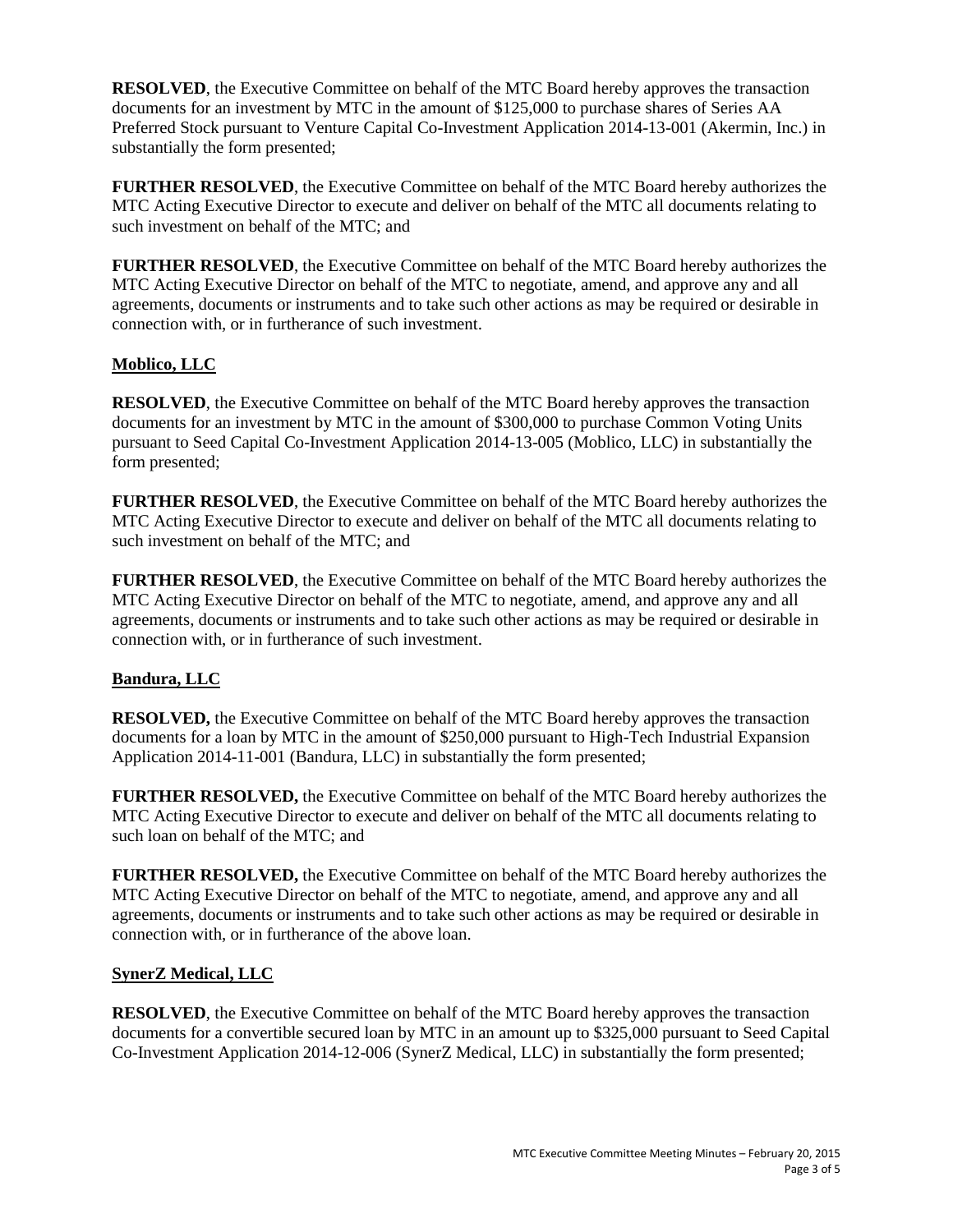**RESOLVED**, the Executive Committee on behalf of the MTC Board hereby approves the transaction documents for an investment by MTC in the amount of \$125,000 to purchase shares of Series AA Preferred Stock pursuant to Venture Capital Co-Investment Application 2014-13-001 (Akermin, Inc.) in substantially the form presented;

**FURTHER RESOLVED**, the Executive Committee on behalf of the MTC Board hereby authorizes the MTC Acting Executive Director to execute and deliver on behalf of the MTC all documents relating to such investment on behalf of the MTC; and

**FURTHER RESOLVED**, the Executive Committee on behalf of the MTC Board hereby authorizes the MTC Acting Executive Director on behalf of the MTC to negotiate, amend, and approve any and all agreements, documents or instruments and to take such other actions as may be required or desirable in connection with, or in furtherance of such investment.

# **Moblico, LLC**

**RESOLVED**, the Executive Committee on behalf of the MTC Board hereby approves the transaction documents for an investment by MTC in the amount of \$300,000 to purchase Common Voting Units pursuant to Seed Capital Co-Investment Application 2014-13-005 (Moblico, LLC) in substantially the form presented;

**FURTHER RESOLVED**, the Executive Committee on behalf of the MTC Board hereby authorizes the MTC Acting Executive Director to execute and deliver on behalf of the MTC all documents relating to such investment on behalf of the MTC; and

**FURTHER RESOLVED**, the Executive Committee on behalf of the MTC Board hereby authorizes the MTC Acting Executive Director on behalf of the MTC to negotiate, amend, and approve any and all agreements, documents or instruments and to take such other actions as may be required or desirable in connection with, or in furtherance of such investment.

# **Bandura, LLC**

**RESOLVED,** the Executive Committee on behalf of the MTC Board hereby approves the transaction documents for a loan by MTC in the amount of \$250,000 pursuant to High-Tech Industrial Expansion Application 2014-11-001 (Bandura, LLC) in substantially the form presented;

**FURTHER RESOLVED,** the Executive Committee on behalf of the MTC Board hereby authorizes the MTC Acting Executive Director to execute and deliver on behalf of the MTC all documents relating to such loan on behalf of the MTC; and

**FURTHER RESOLVED,** the Executive Committee on behalf of the MTC Board hereby authorizes the MTC Acting Executive Director on behalf of the MTC to negotiate, amend, and approve any and all agreements, documents or instruments and to take such other actions as may be required or desirable in connection with, or in furtherance of the above loan.

### **SynerZ Medical, LLC**

**RESOLVED**, the Executive Committee on behalf of the MTC Board hereby approves the transaction documents for a convertible secured loan by MTC in an amount up to \$325,000 pursuant to Seed Capital Co-Investment Application 2014-12-006 (SynerZ Medical, LLC) in substantially the form presented;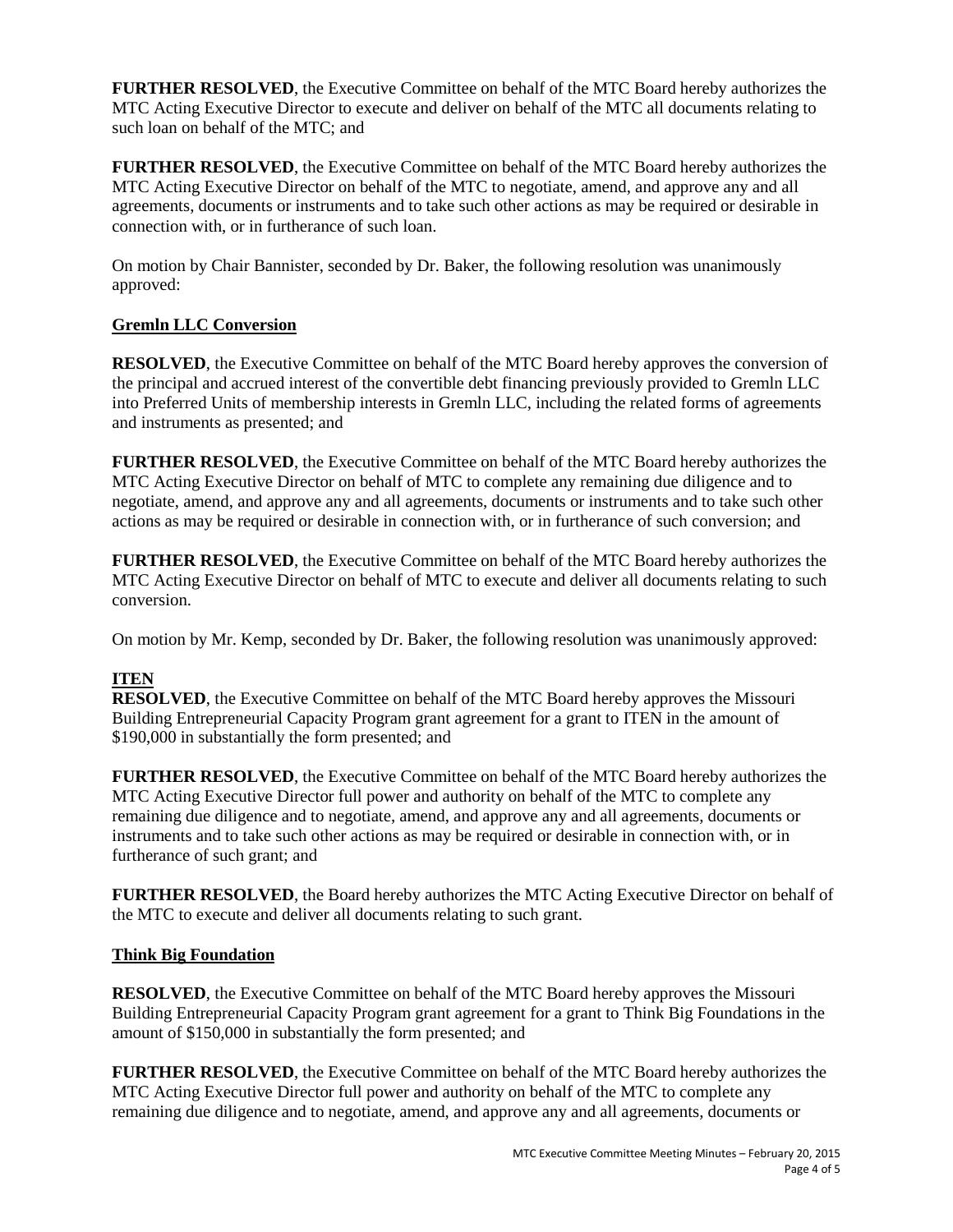**FURTHER RESOLVED**, the Executive Committee on behalf of the MTC Board hereby authorizes the MTC Acting Executive Director to execute and deliver on behalf of the MTC all documents relating to such loan on behalf of the MTC; and

**FURTHER RESOLVED**, the Executive Committee on behalf of the MTC Board hereby authorizes the MTC Acting Executive Director on behalf of the MTC to negotiate, amend, and approve any and all agreements, documents or instruments and to take such other actions as may be required or desirable in connection with, or in furtherance of such loan.

On motion by Chair Bannister, seconded by Dr. Baker, the following resolution was unanimously approved:

# **Gremln LLC Conversion**

**RESOLVED**, the Executive Committee on behalf of the MTC Board hereby approves the conversion of the principal and accrued interest of the convertible debt financing previously provided to Gremln LLC into Preferred Units of membership interests in Gremln LLC, including the related forms of agreements and instruments as presented; and

**FURTHER RESOLVED**, the Executive Committee on behalf of the MTC Board hereby authorizes the MTC Acting Executive Director on behalf of MTC to complete any remaining due diligence and to negotiate, amend, and approve any and all agreements, documents or instruments and to take such other actions as may be required or desirable in connection with, or in furtherance of such conversion; and

**FURTHER RESOLVED**, the Executive Committee on behalf of the MTC Board hereby authorizes the MTC Acting Executive Director on behalf of MTC to execute and deliver all documents relating to such conversion.

On motion by Mr. Kemp, seconded by Dr. Baker, the following resolution was unanimously approved:

# **ITEN**

**RESOLVED**, the Executive Committee on behalf of the MTC Board hereby approves the Missouri Building Entrepreneurial Capacity Program grant agreement for a grant to ITEN in the amount of \$190,000 in substantially the form presented; and

**FURTHER RESOLVED**, the Executive Committee on behalf of the MTC Board hereby authorizes the MTC Acting Executive Director full power and authority on behalf of the MTC to complete any remaining due diligence and to negotiate, amend, and approve any and all agreements, documents or instruments and to take such other actions as may be required or desirable in connection with, or in furtherance of such grant; and

**FURTHER RESOLVED**, the Board hereby authorizes the MTC Acting Executive Director on behalf of the MTC to execute and deliver all documents relating to such grant.

# **Think Big Foundation**

**RESOLVED**, the Executive Committee on behalf of the MTC Board hereby approves the Missouri Building Entrepreneurial Capacity Program grant agreement for a grant to Think Big Foundations in the amount of \$150,000 in substantially the form presented; and

**FURTHER RESOLVED**, the Executive Committee on behalf of the MTC Board hereby authorizes the MTC Acting Executive Director full power and authority on behalf of the MTC to complete any remaining due diligence and to negotiate, amend, and approve any and all agreements, documents or